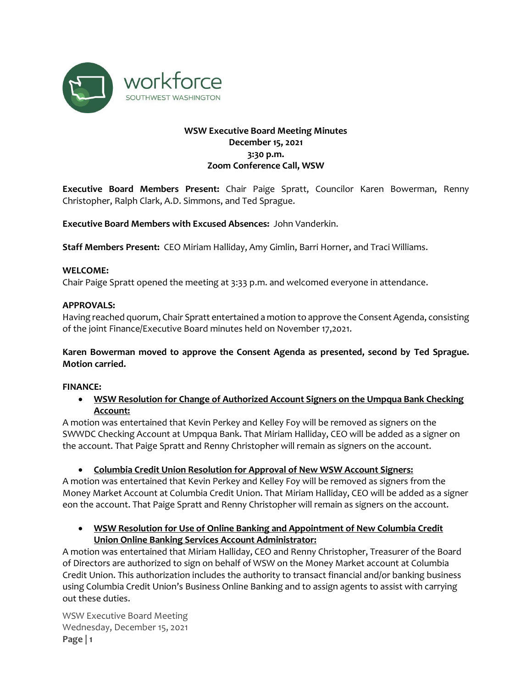

# **WSW Executive Board Meeting Minutes December 15, 2021 3:30 p.m. Zoom Conference Call, WSW**

**Executive Board Members Present:** Chair Paige Spratt, Councilor Karen Bowerman, Renny Christopher, Ralph Clark, A.D. Simmons, and Ted Sprague.

**Executive Board Members with Excused Absences:** John Vanderkin.

**Staff Members Present:** CEO Miriam Halliday, Amy Gimlin, Barri Horner, and Traci Williams.

### **WELCOME:**

Chair Paige Spratt opened the meeting at 3:33 p.m. and welcomed everyone in attendance.

# **APPROVALS:**

Having reached quorum, Chair Spratt entertained a motion to approve the Consent Agenda, consisting of the joint Finance/Executive Board minutes held on November 17,2021.

# **Karen Bowerman moved to approve the Consent Agenda as presented, second by Ted Sprague. Motion carried.**

### **FINANCE:**

• **WSW Resolution for Change of Authorized Account Signers on the Umpqua Bank Checking Account:** 

A motion was entertained that Kevin Perkey and Kelley Foy will be removed as signers on the SWWDC Checking Account at Umpqua Bank. That Miriam Halliday, CEO will be added as a signer on the account. That Paige Spratt and Renny Christopher will remain as signers on the account.

• **Columbia Credit Union Resolution for Approval of New WSW Account Signers:**

A motion was entertained that Kevin Perkey and Kelley Foy will be removed as signers from the Money Market Account at Columbia Credit Union. That Miriam Halliday, CEO will be added as a signer eon the account. That Paige Spratt and Renny Christopher will remain as signers on the account.

• **WSW Resolution for Use of Online Banking and Appointment of New Columbia Credit Union Online Banking Services Account Administrator:**

A motion was entertained that Miriam Halliday, CEO and Renny Christopher, Treasurer of the Board of Directors are authorized to sign on behalf of WSW on the Money Market account at Columbia Credit Union. This authorization includes the authority to transact financial and/or banking business using Columbia Credit Union's Business Online Banking and to assign agents to assist with carrying out these duties.

WSW Executive Board Meeting Wednesday, December 15, 2021 **Page | 1**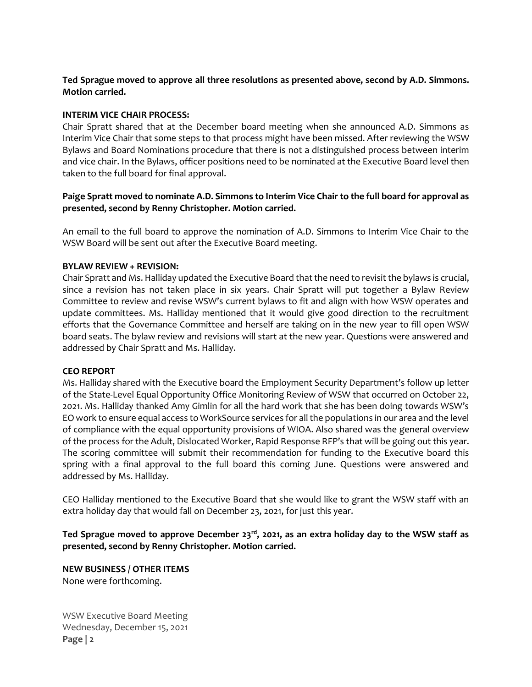**Ted Sprague moved to approve all three resolutions as presented above, second by A.D. Simmons. Motion carried.**

## **INTERIM VICE CHAIR PROCESS:**

Chair Spratt shared that at the December board meeting when she announced A.D. Simmons as Interim Vice Chair that some steps to that process might have been missed. After reviewing the WSW Bylaws and Board Nominations procedure that there is not a distinguished process between interim and vice chair. In the Bylaws, officer positions need to be nominated at the Executive Board level then taken to the full board for final approval.

# **Paige Spratt moved to nominate A.D. Simmons to Interim Vice Chair to the full board for approval as presented, second by Renny Christopher. Motion carried.**

An email to the full board to approve the nomination of A.D. Simmons to Interim Vice Chair to the WSW Board will be sent out after the Executive Board meeting.

### **BYLAW REVIEW + REVISION:**

Chair Spratt and Ms. Halliday updated the Executive Board that the need to revisit the bylaws is crucial, since a revision has not taken place in six years. Chair Spratt will put together a Bylaw Review Committee to review and revise WSW's current bylaws to fit and align with how WSW operates and update committees. Ms. Halliday mentioned that it would give good direction to the recruitment efforts that the Governance Committee and herself are taking on in the new year to fill open WSW board seats. The bylaw review and revisions will start at the new year. Questions were answered and addressed by Chair Spratt and Ms. Halliday.

### **CEO REPORT**

Ms. Halliday shared with the Executive board the Employment Security Department's follow up letter of the State-Level Equal Opportunity Office Monitoring Review of WSW that occurred on October 22, 2021. Ms. Halliday thanked Amy Gimlin for all the hard work that she has been doing towards WSW's EO work to ensure equal access to WorkSource services for all the populations in our area and the level of compliance with the equal opportunity provisions of WIOA. Also shared was the general overview of the process for the Adult, Dislocated Worker, Rapid Response RFP's that will be going out this year. The scoring committee will submit their recommendation for funding to the Executive board this spring with a final approval to the full board this coming June. Questions were answered and addressed by Ms. Halliday.

CEO Halliday mentioned to the Executive Board that she would like to grant the WSW staff with an extra holiday day that would fall on December 23, 2021, for just this year.

**Ted Sprague moved to approve December 23rd , 2021, as an extra holiday day to the WSW staff as presented, second by Renny Christopher. Motion carried.**

**NEW BUSINESS / OTHER ITEMS** None were forthcoming.

WSW Executive Board Meeting Wednesday, December 15, 2021 **Page | 2**